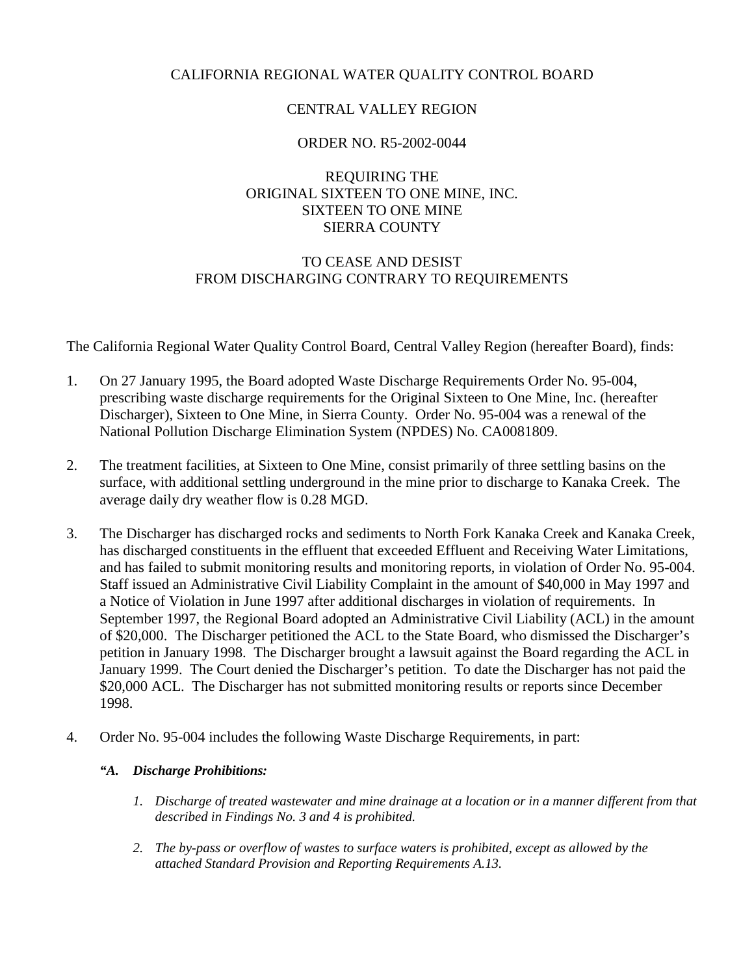# CALIFORNIA REGIONAL WATER QUALITY CONTROL BOARD

# CENTRAL VALLEY REGION

# ORDER NO. R5-2002-0044

# REQUIRING THE ORIGINAL SIXTEEN TO ONE MINE, INC. SIXTEEN TO ONE MINE SIERRA COUNTY

# TO CEASE AND DESIST FROM DISCHARGING CONTRARY TO REQUIREMENTS

The California Regional Water Quality Control Board, Central Valley Region (hereafter Board), finds:

- 1. On 27 January 1995, the Board adopted Waste Discharge Requirements Order No. 95-004, prescribing waste discharge requirements for the Original Sixteen to One Mine, Inc. (hereafter Discharger), Sixteen to One Mine, in Sierra County. Order No. 95-004 was a renewal of the National Pollution Discharge Elimination System (NPDES) No. CA0081809.
- 2. The treatment facilities, at Sixteen to One Mine, consist primarily of three settling basins on the surface, with additional settling underground in the mine prior to discharge to Kanaka Creek. The average daily dry weather flow is 0.28 MGD.
- 3. The Discharger has discharged rocks and sediments to North Fork Kanaka Creek and Kanaka Creek, has discharged constituents in the effluent that exceeded Effluent and Receiving Water Limitations, and has failed to submit monitoring results and monitoring reports, in violation of Order No. 95-004. Staff issued an Administrative Civil Liability Complaint in the amount of \$40,000 in May 1997 and a Notice of Violation in June 1997 after additional discharges in violation of requirements. In September 1997, the Regional Board adopted an Administrative Civil Liability (ACL) in the amount of \$20,000. The Discharger petitioned the ACL to the State Board, who dismissed the Discharger's petition in January 1998. The Discharger brought a lawsuit against the Board regarding the ACL in January 1999. The Court denied the Discharger's petition. To date the Discharger has not paid the \$20,000 ACL. The Discharger has not submitted monitoring results or reports since December 1998.
- 4. Order No. 95-004 includes the following Waste Discharge Requirements, in part:

## *"A. Discharge Prohibitions:*

- *1. Discharge of treated wastewater and mine drainage at a location or in a manner different from that described in Findings No. 3 and 4 is prohibited.*
- *2. The by-pass or overflow of wastes to surface waters is prohibited, except as allowed by the attached Standard Provision and Reporting Requirements A.13.*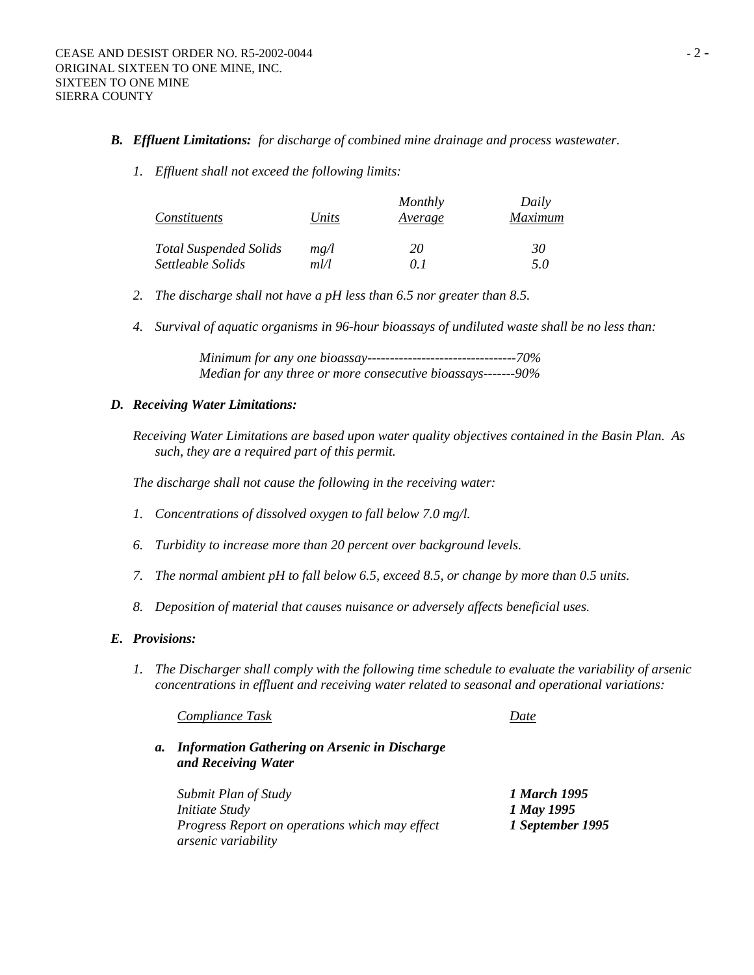## *B. Effluent Limitations: for discharge of combined mine drainage and process wastewater.*

*1. Effluent shall not exceed the following limits:* 

| Constituents                  | Units | Monthly<br>Average | Daily<br>Maximum |
|-------------------------------|-------|--------------------|------------------|
| <b>Total Suspended Solids</b> | mg/l  | 20                 | 30               |
| Settleable Solids             | ml/l  | () I               | 5.0              |

- *2. The discharge shall not have a pH less than 6.5 nor greater than 8.5.*
- *4. Survival of aquatic organisms in 96-hour bioassays of undiluted waste shall be no less than:*

 *Minimum for any one bioassay---------------------------------70% Median for any three or more consecutive bioassays-------90%* 

## *D. Receiving Water Limitations:*

*Receiving Water Limitations are based upon water quality objectives contained in the Basin Plan. As such, they are a required part of this permit.* 

*The discharge shall not cause the following in the receiving water:* 

- *1. Concentrations of dissolved oxygen to fall below 7.0 mg/l.*
- *6. Turbidity to increase more than 20 percent over background levels.*
- *7. The normal ambient pH to fall below 6.5, exceed 8.5, or change by more than 0.5 units.*
- *8. Deposition of material that causes nuisance or adversely affects beneficial uses.*

## *E. Provisions:*

*1. The Discharger shall comply with the following time schedule to evaluate the variability of arsenic concentrations in effluent and receiving water related to seasonal and operational variations:* 

 *Compliance Task Date*

*a. Information Gathering on Arsenic in Discharge and Receiving Water*

| Submit Plan of Study                                  | 1 March 1995     |
|-------------------------------------------------------|------------------|
| <i>Initiate Study</i>                                 | 1 May 1995       |
| <i>Progress Report on operations which may effect</i> | 1 September 1995 |
| <i>arsenic variability</i>                            |                  |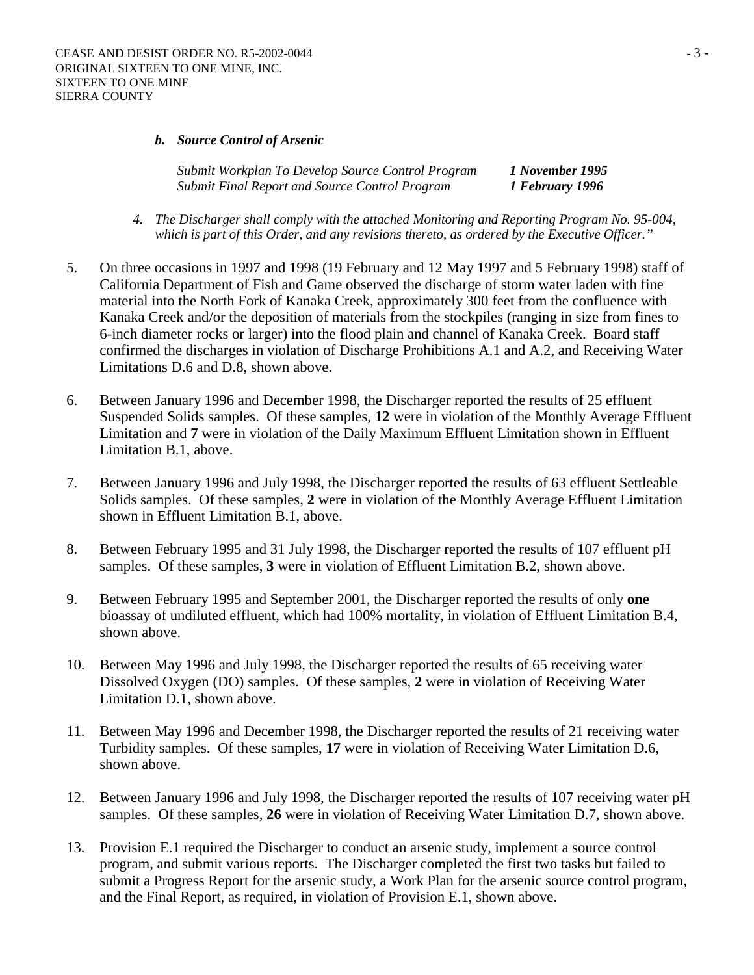## *b. Source Control of Arsenic*

*Submit Workplan To Develop Source Control Program 1 November 1995 Submit Final Report and Source Control Program 1 February 1996*

- *4. The Discharger shall comply with the attached Monitoring and Reporting Program No. 95-004, which is part of this Order, and any revisions thereto, as ordered by the Executive Officer."*
- 5. On three occasions in 1997 and 1998 (19 February and 12 May 1997 and 5 February 1998) staff of California Department of Fish and Game observed the discharge of storm water laden with fine material into the North Fork of Kanaka Creek, approximately 300 feet from the confluence with Kanaka Creek and/or the deposition of materials from the stockpiles (ranging in size from fines to 6-inch diameter rocks or larger) into the flood plain and channel of Kanaka Creek. Board staff confirmed the discharges in violation of Discharge Prohibitions A.1 and A.2, and Receiving Water Limitations D.6 and D.8, shown above.
- 6. Between January 1996 and December 1998, the Discharger reported the results of 25 effluent Suspended Solids samples. Of these samples, **12** were in violation of the Monthly Average Effluent Limitation and **7** were in violation of the Daily Maximum Effluent Limitation shown in Effluent Limitation B.1, above.
- 7. Between January 1996 and July 1998, the Discharger reported the results of 63 effluent Settleable Solids samples. Of these samples, **2** were in violation of the Monthly Average Effluent Limitation shown in Effluent Limitation B.1, above.
- 8. Between February 1995 and 31 July 1998, the Discharger reported the results of 107 effluent pH samples. Of these samples, **3** were in violation of Effluent Limitation B.2, shown above.
- 9. Between February 1995 and September 2001, the Discharger reported the results of only **one** bioassay of undiluted effluent, which had 100% mortality, in violation of Effluent Limitation B.4, shown above.
- 10. Between May 1996 and July 1998, the Discharger reported the results of 65 receiving water Dissolved Oxygen (DO) samples. Of these samples, **2** were in violation of Receiving Water Limitation D.1, shown above.
- 11. Between May 1996 and December 1998, the Discharger reported the results of 21 receiving water Turbidity samples. Of these samples, **17** were in violation of Receiving Water Limitation D.6, shown above.
- 12. Between January 1996 and July 1998, the Discharger reported the results of 107 receiving water pH samples. Of these samples, **26** were in violation of Receiving Water Limitation D.7, shown above.
- 13. Provision E.1 required the Discharger to conduct an arsenic study, implement a source control program, and submit various reports. The Discharger completed the first two tasks but failed to submit a Progress Report for the arsenic study, a Work Plan for the arsenic source control program, and the Final Report, as required, in violation of Provision E.1, shown above.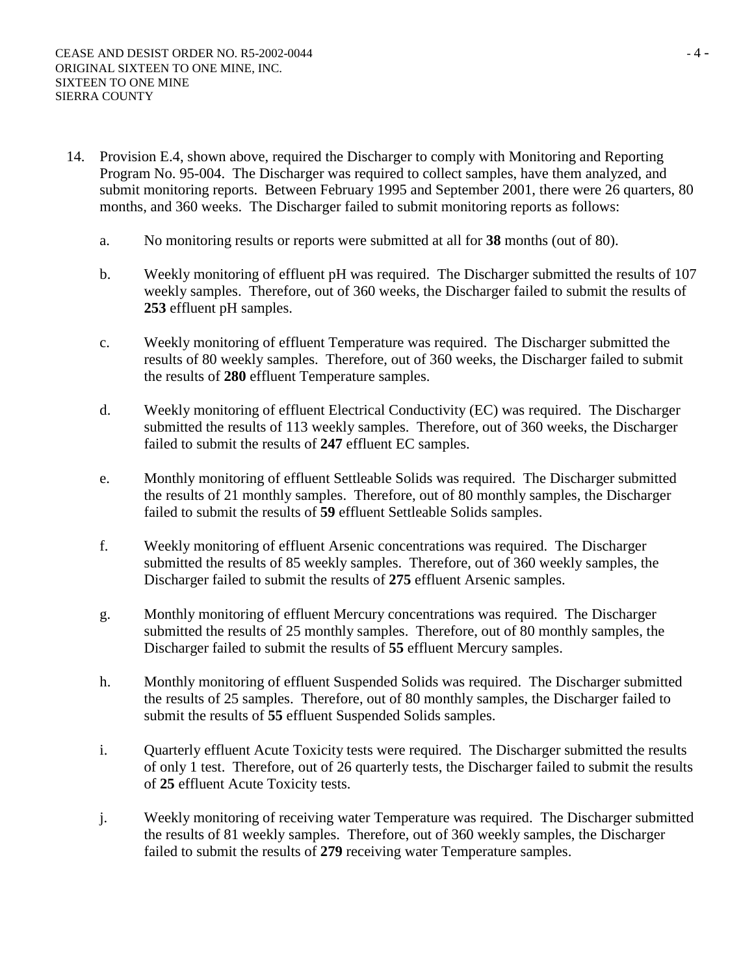- 14. Provision E.4, shown above, required the Discharger to comply with Monitoring and Reporting Program No. 95-004. The Discharger was required to collect samples, have them analyzed, and submit monitoring reports. Between February 1995 and September 2001, there were 26 quarters, 80 months, and 360 weeks. The Discharger failed to submit monitoring reports as follows:
	- a. No monitoring results or reports were submitted at all for **38** months (out of 80).
	- b. Weekly monitoring of effluent pH was required. The Discharger submitted the results of 107 weekly samples. Therefore, out of 360 weeks, the Discharger failed to submit the results of **253** effluent pH samples.
	- c. Weekly monitoring of effluent Temperature was required. The Discharger submitted the results of 80 weekly samples. Therefore, out of 360 weeks, the Discharger failed to submit the results of **280** effluent Temperature samples.
	- d. Weekly monitoring of effluent Electrical Conductivity (EC) was required. The Discharger submitted the results of 113 weekly samples. Therefore, out of 360 weeks, the Discharger failed to submit the results of **247** effluent EC samples.
	- e. Monthly monitoring of effluent Settleable Solids was required. The Discharger submitted the results of 21 monthly samples. Therefore, out of 80 monthly samples, the Discharger failed to submit the results of **59** effluent Settleable Solids samples.
	- f. Weekly monitoring of effluent Arsenic concentrations was required. The Discharger submitted the results of 85 weekly samples. Therefore, out of 360 weekly samples, the Discharger failed to submit the results of **275** effluent Arsenic samples.
	- g. Monthly monitoring of effluent Mercury concentrations was required. The Discharger submitted the results of 25 monthly samples. Therefore, out of 80 monthly samples, the Discharger failed to submit the results of **55** effluent Mercury samples.
	- h. Monthly monitoring of effluent Suspended Solids was required. The Discharger submitted the results of 25 samples. Therefore, out of 80 monthly samples, the Discharger failed to submit the results of **55** effluent Suspended Solids samples.
	- i. Quarterly effluent Acute Toxicity tests were required. The Discharger submitted the results of only 1 test. Therefore, out of 26 quarterly tests, the Discharger failed to submit the results of **25** effluent Acute Toxicity tests.
	- j. Weekly monitoring of receiving water Temperature was required. The Discharger submitted the results of 81 weekly samples. Therefore, out of 360 weekly samples, the Discharger failed to submit the results of **279** receiving water Temperature samples.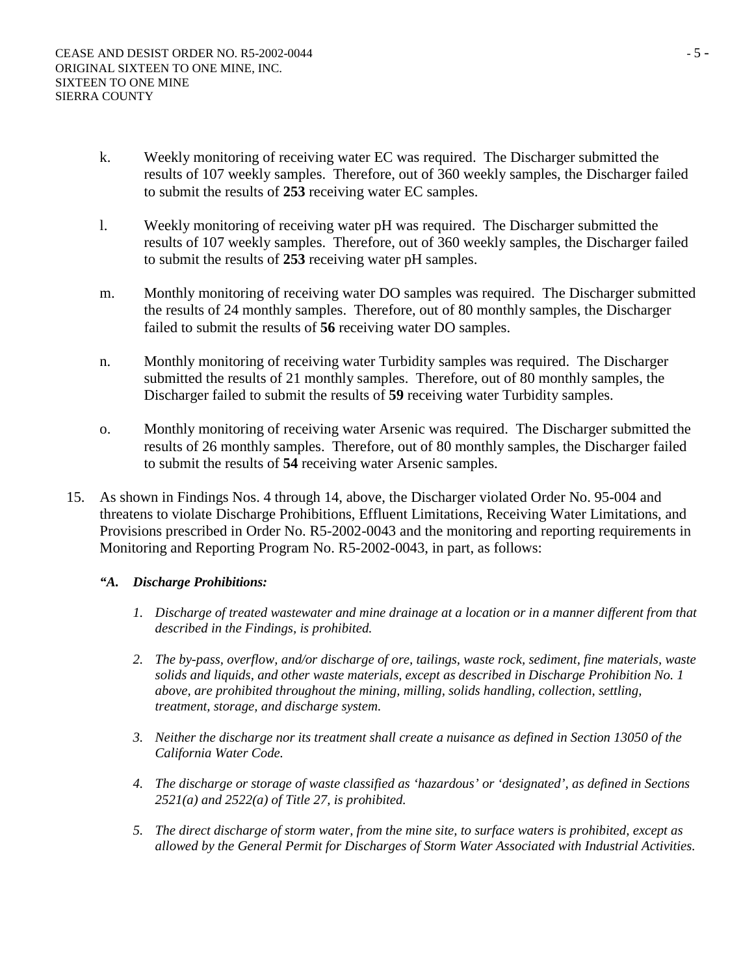- k. Weekly monitoring of receiving water EC was required. The Discharger submitted the results of 107 weekly samples. Therefore, out of 360 weekly samples, the Discharger failed to submit the results of **253** receiving water EC samples.
- l. Weekly monitoring of receiving water pH was required. The Discharger submitted the results of 107 weekly samples. Therefore, out of 360 weekly samples, the Discharger failed to submit the results of **253** receiving water pH samples.
- m. Monthly monitoring of receiving water DO samples was required. The Discharger submitted the results of 24 monthly samples. Therefore, out of 80 monthly samples, the Discharger failed to submit the results of **56** receiving water DO samples.
- n. Monthly monitoring of receiving water Turbidity samples was required. The Discharger submitted the results of 21 monthly samples. Therefore, out of 80 monthly samples, the Discharger failed to submit the results of **59** receiving water Turbidity samples.
- o. Monthly monitoring of receiving water Arsenic was required. The Discharger submitted the results of 26 monthly samples. Therefore, out of 80 monthly samples, the Discharger failed to submit the results of **54** receiving water Arsenic samples.
- 15. As shown in Findings Nos. 4 through 14, above, the Discharger violated Order No. 95-004 and threatens to violate Discharge Prohibitions, Effluent Limitations, Receiving Water Limitations, and Provisions prescribed in Order No. R5-2002-0043 and the monitoring and reporting requirements in Monitoring and Reporting Program No. R5-2002-0043, in part, as follows:
	- *"A. Discharge Prohibitions:*
		- *1. Discharge of treated wastewater and mine drainage at a location or in a manner different from that described in the Findings, is prohibited.*
		- *2. The by-pass, overflow, and/or discharge of ore, tailings, waste rock, sediment, fine materials, waste solids and liquids, and other waste materials, except as described in Discharge Prohibition No. 1 above, are prohibited throughout the mining, milling, solids handling, collection, settling, treatment, storage, and discharge system.*
		- *3. Neither the discharge nor its treatment shall create a nuisance as defined in Section 13050 of the California Water Code.*
		- *4. The discharge or storage of waste classified as 'hazardous' or 'designated', as defined in Sections 2521(a) and 2522(a) of Title 27, is prohibited.*
		- *5. The direct discharge of storm water, from the mine site, to surface waters is prohibited, except as allowed by the General Permit for Discharges of Storm Water Associated with Industrial Activities.*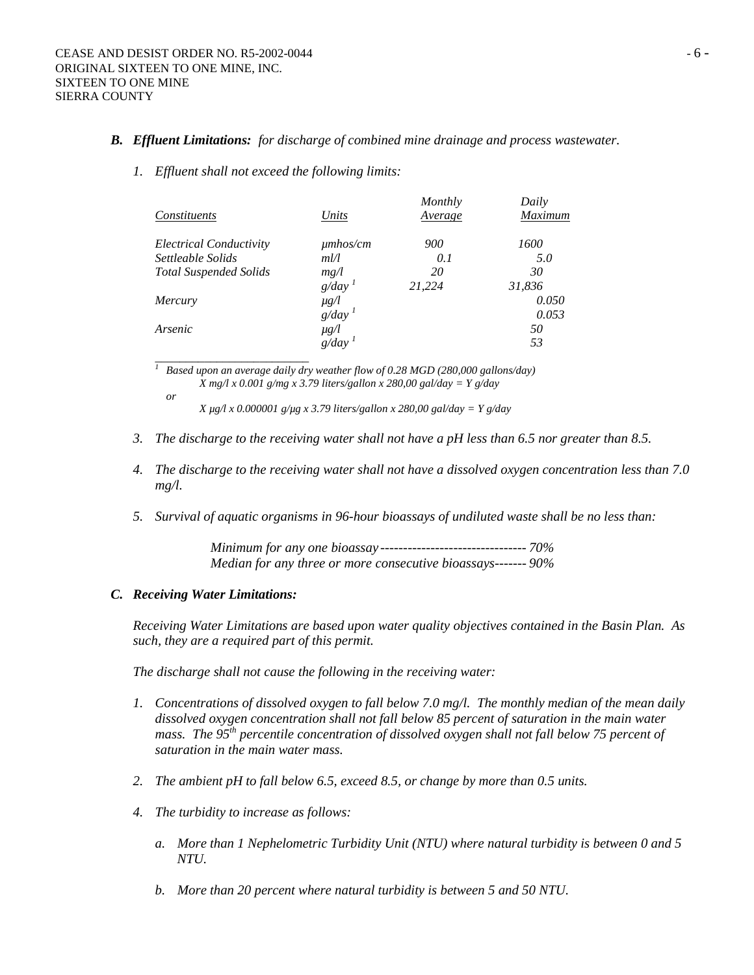## *B. Effluent Limitations: for discharge of combined mine drainage and process wastewater.*

#### *1. Effluent shall not exceed the following limits:*

|                                |                      | Monthly | Daily   |
|--------------------------------|----------------------|---------|---------|
| Constituents                   | Units                | Average | Maximum |
| <b>Electrical Conductivity</b> | $\mu$ mhos/cm        | 900     | 1600    |
| Settleable Solids              | m l l                | 0.1     | 5.0     |
| <b>Total Suspended Solids</b>  | mg/l                 | 20      | 30      |
|                                | $g/day$ <sup>1</sup> | 21,224  | 31,836  |
| <i>Mercury</i>                 | $\mu$ g/l            |         | 0.050   |
|                                | $g/day$ <sup>1</sup> |         | 0.053   |
| Arsenic                        | $\mu$ g/l            |         | 50      |
|                                | g/day                |         | 53      |
|                                |                      |         |         |

<sup>1</sup> Based upon an average daily dry weather flow of 0.28 MGD (280,000 gallons/day)  *X mg/l x 0.001 g/mg x 3.79 liters/gallon x 280,00 gal/day = Y g/day or* 

 *X µg/l x 0.000001 g/µg x 3.79 liters/gallon x 280,00 gal/day = Y g/day* 

- *3. The discharge to the receiving water shall not have a pH less than 6.5 nor greater than 8.5.*
- *4. The discharge to the receiving water shall not have a dissolved oxygen concentration less than 7.0 mg/l.*
- *5. Survival of aquatic organisms in 96-hour bioassays of undiluted waste shall be no less than:*

*Minimum for any one bioassay -------------------------------- 70% Median for any three or more consecutive bioassays------- 90%* 

#### *C. Receiving Water Limitations:*

*Receiving Water Limitations are based upon water quality objectives contained in the Basin Plan. As such, they are a required part of this permit.* 

*The discharge shall not cause the following in the receiving water:* 

- *1. Concentrations of dissolved oxygen to fall below 7.0 mg/l. The monthly median of the mean daily dissolved oxygen concentration shall not fall below 85 percent of saturation in the main water*  mass. The 95<sup>th</sup> percentile concentration of dissolved oxygen shall not fall below 75 percent of *saturation in the main water mass.*
- *2. The ambient pH to fall below 6.5, exceed 8.5, or change by more than 0.5 units.*
- *4. The turbidity to increase as follows:* 
	- *a. More than 1 Nephelometric Turbidity Unit (NTU) where natural turbidity is between 0 and 5 NTU.*
	- *b. More than 20 percent where natural turbidity is between 5 and 50 NTU.*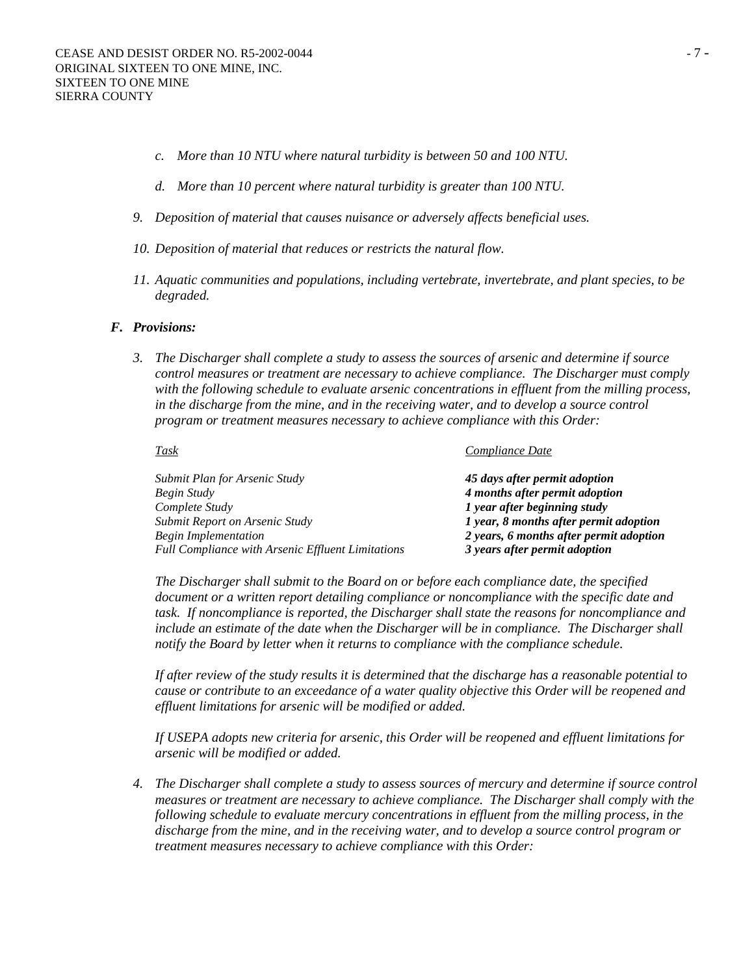- *c. More than 10 NTU where natural turbidity is between 50 and 100 NTU.*
- *d. More than 10 percent where natural turbidity is greater than 100 NTU.*
- *9. Deposition of material that causes nuisance or adversely affects beneficial uses.*
- *10. Deposition of material that reduces or restricts the natural flow.*
- *11. Aquatic communities and populations, including vertebrate, invertebrate, and plant species, to be degraded.*

## *F. Provisions:*

*3. The Discharger shall complete a study to assess the sources of arsenic and determine if source control measures or treatment are necessary to achieve compliance. The Discharger must comply with the following schedule to evaluate arsenic concentrations in effluent from the milling process, in the discharge from the mine, and in the receiving water, and to develop a source control program or treatment measures necessary to achieve compliance with this Order:* 

| Task                                                     | Compliance Date                         |
|----------------------------------------------------------|-----------------------------------------|
| Submit Plan for Arsenic Study                            | 45 days after permit adoption           |
| Begin Study                                              | 4 months after permit adoption          |
| Complete Study                                           | 1 year after beginning study            |
| Submit Report on Arsenic Study                           | 1 year, 8 months after permit adoption  |
| Begin Implementation                                     | 2 years, 6 months after permit adoption |
| <b>Full Compliance with Arsenic Effluent Limitations</b> | 3 years after permit adoption           |
|                                                          |                                         |

*The Discharger shall submit to the Board on or before each compliance date, the specified document or a written report detailing compliance or noncompliance with the specific date and task. If noncompliance is reported, the Discharger shall state the reasons for noncompliance and include an estimate of the date when the Discharger will be in compliance. The Discharger shall notify the Board by letter when it returns to compliance with the compliance schedule.* 

*If after review of the study results it is determined that the discharge has a reasonable potential to cause or contribute to an exceedance of a water quality objective this Order will be reopened and effluent limitations for arsenic will be modified or added.* 

*If USEPA adopts new criteria for arsenic, this Order will be reopened and effluent limitations for arsenic will be modified or added.* 

*4. The Discharger shall complete a study to assess sources of mercury and determine if source control measures or treatment are necessary to achieve compliance. The Discharger shall comply with the following schedule to evaluate mercury concentrations in effluent from the milling process, in the discharge from the mine, and in the receiving water, and to develop a source control program or treatment measures necessary to achieve compliance with this Order:*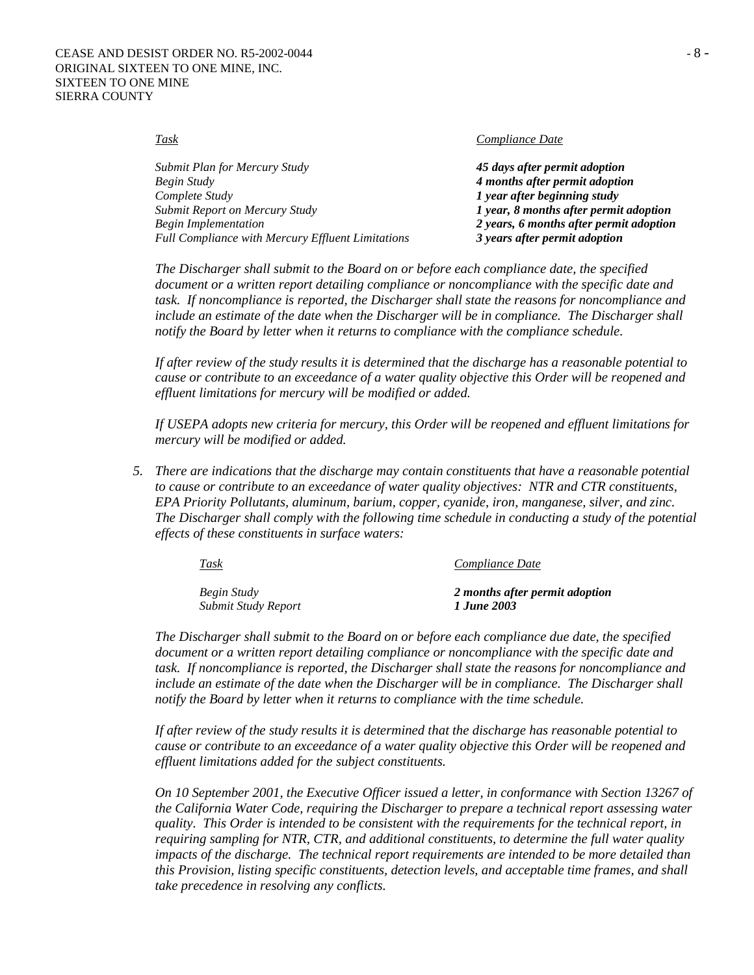*Task Compliance Date*

| Submit Plan for Mercury Study                            | 45 days after permit adoption           |
|----------------------------------------------------------|-----------------------------------------|
| Begin Study                                              | 4 months after permit adoption          |
| Complete Study                                           | 1 year after beginning study            |
| Submit Report on Mercury Study                           | 1 year, 8 months after permit adoption  |
| Begin Implementation                                     | 2 years, 6 months after permit adoption |
| <b>Full Compliance with Mercury Effluent Limitations</b> | 3 years after permit adoption           |

*The Discharger shall submit to the Board on or before each compliance date, the specified document or a written report detailing compliance or noncompliance with the specific date and task. If noncompliance is reported, the Discharger shall state the reasons for noncompliance and include an estimate of the date when the Discharger will be in compliance. The Discharger shall notify the Board by letter when it returns to compliance with the compliance schedule.* 

*If after review of the study results it is determined that the discharge has a reasonable potential to cause or contribute to an exceedance of a water quality objective this Order will be reopened and effluent limitations for mercury will be modified or added.* 

*If USEPA adopts new criteria for mercury, this Order will be reopened and effluent limitations for mercury will be modified or added.* 

*5. There are indications that the discharge may contain constituents that have a reasonable potential to cause or contribute to an exceedance of water quality objectives: NTR and CTR constituents, EPA Priority Pollutants, aluminum, barium, copper, cyanide, iron, manganese, silver, and zinc. The Discharger shall comply with the following time schedule in conducting a study of the potential effects of these constituents in surface waters:* 

| <b>Task</b>         | Compliance Date                |  |
|---------------------|--------------------------------|--|
| Begin Study         | 2 months after permit adoption |  |
| Submit Study Report | 1 June 2003                    |  |

*The Discharger shall submit to the Board on or before each compliance due date, the specified document or a written report detailing compliance or noncompliance with the specific date and task. If noncompliance is reported, the Discharger shall state the reasons for noncompliance and include an estimate of the date when the Discharger will be in compliance. The Discharger shall notify the Board by letter when it returns to compliance with the time schedule.* 

*If after review of the study results it is determined that the discharge has reasonable potential to cause or contribute to an exceedance of a water quality objective this Order will be reopened and effluent limitations added for the subject constituents.* 

*On 10 September 2001, the Executive Officer issued a letter, in conformance with Section 13267 of the California Water Code, requiring the Discharger to prepare a technical report assessing water quality. This Order is intended to be consistent with the requirements for the technical report, in requiring sampling for NTR, CTR, and additional constituents, to determine the full water quality impacts of the discharge. The technical report requirements are intended to be more detailed than this Provision, listing specific constituents, detection levels, and acceptable time frames, and shall take precedence in resolving any conflicts.*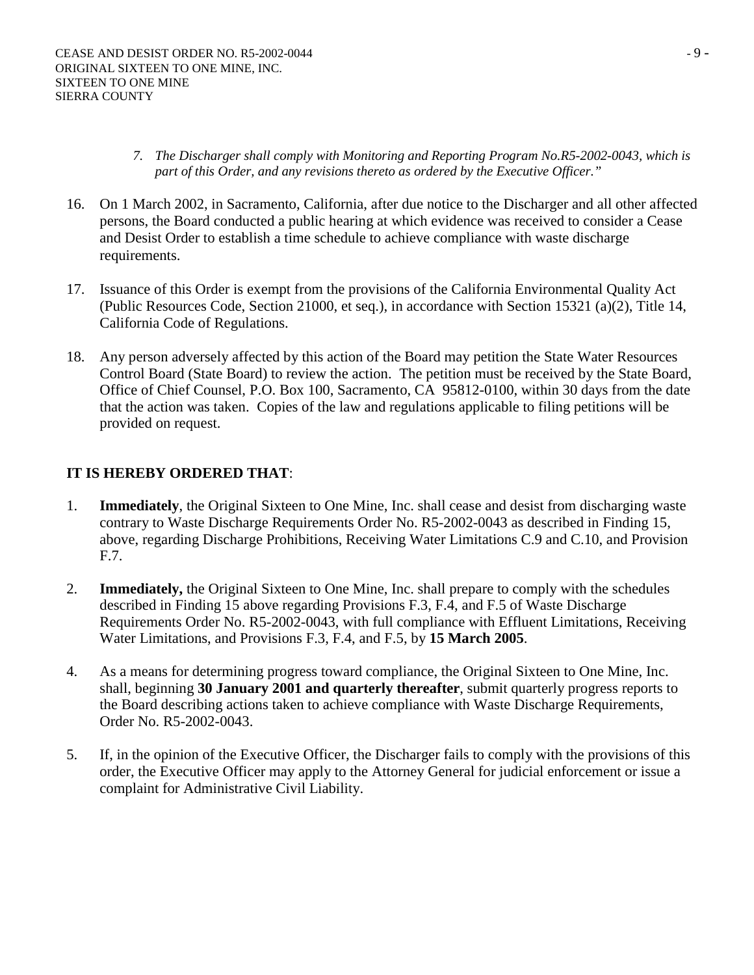- *7. The Discharger shall comply with Monitoring and Reporting Program No.R5-2002-0043, which is part of this Order, and any revisions thereto as ordered by the Executive Officer."*
- 16. On 1 March 2002, in Sacramento, California, after due notice to the Discharger and all other affected persons, the Board conducted a public hearing at which evidence was received to consider a Cease and Desist Order to establish a time schedule to achieve compliance with waste discharge requirements.
- 17. Issuance of this Order is exempt from the provisions of the California Environmental Quality Act (Public Resources Code, Section 21000, et seq.), in accordance with Section 15321 (a)(2), Title 14, California Code of Regulations.
- 18. Any person adversely affected by this action of the Board may petition the State Water Resources Control Board (State Board) to review the action. The petition must be received by the State Board, Office of Chief Counsel, P.O. Box 100, Sacramento, CA 95812-0100, within 30 days from the date that the action was taken. Copies of the law and regulations applicable to filing petitions will be provided on request.

# **IT IS HEREBY ORDERED THAT**:

- 1. **Immediately**, the Original Sixteen to One Mine, Inc. shall cease and desist from discharging waste contrary to Waste Discharge Requirements Order No. R5-2002-0043 as described in Finding 15, above, regarding Discharge Prohibitions, Receiving Water Limitations C.9 and C.10, and Provision F.7.
- 2. **Immediately,** the Original Sixteen to One Mine, Inc. shall prepare to comply with the schedules described in Finding 15 above regarding Provisions F.3, F.4, and F.5 of Waste Discharge Requirements Order No. R5-2002-0043, with full compliance with Effluent Limitations, Receiving Water Limitations, and Provisions F.3, F.4, and F.5, by **15 March 2005**.
- 4. As a means for determining progress toward compliance, the Original Sixteen to One Mine, Inc. shall, beginning **30 January 2001 and quarterly thereafter**, submit quarterly progress reports to the Board describing actions taken to achieve compliance with Waste Discharge Requirements, Order No. R5-2002-0043.
- 5. If, in the opinion of the Executive Officer, the Discharger fails to comply with the provisions of this order, the Executive Officer may apply to the Attorney General for judicial enforcement or issue a complaint for Administrative Civil Liability.